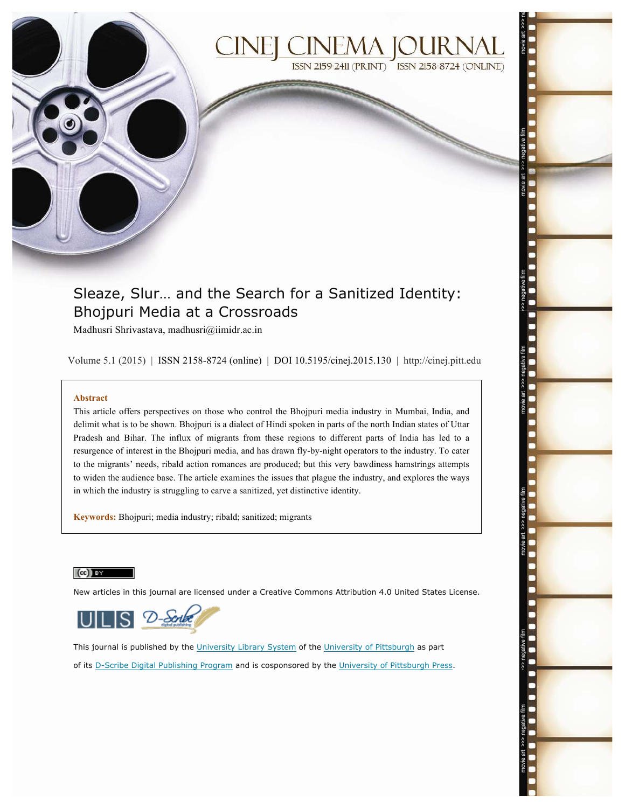

# Sleaze, Slur… and the Search for a Sanitized Identity: Bhojpuri Media at a Crossroads

Madhusri Shrivastava, madhusri@iimidr.ac.in

Volume 5.1 (2015) | ISSN 2158-8724 (online) | DOI 10.5195/cinej.2015.130 | http://cinej.pitt.edu

#### **Abstract**

This article offers perspectives on those who control the Bhojpuri media industry in Mumbai, India, and delimit what is to be shown. Bhojpuri is a dialect of Hindi spoken in parts of the north Indian states of Uttar Pradesh and Bihar. The influx of migrants from these regions to different parts of India has led to a resurgence of interest in the Bhojpuri media, and has drawn fly-by-night operators to the industry. To cater to the migrants' needs, ribald action romances are produced; but this very bawdiness hamstrings attempts to widen the audience base. The article examines the issues that plague the industry, and explores the ways in which the industry is struggling to carve a sanitized, yet distinctive identity.

**Keywords:** Bhojpuri; media industry; ribald; sanitized; migrants

#### $(cc)$  BY

New articles in this journal are licensed under a Creative Commons Attribution 4.0 United States License.



This journal is published by the University Library System of the University of Pittsburgh as part of its D-Scribe Digital Publishing Program and is cosponsored by the University of Pittsburgh Press.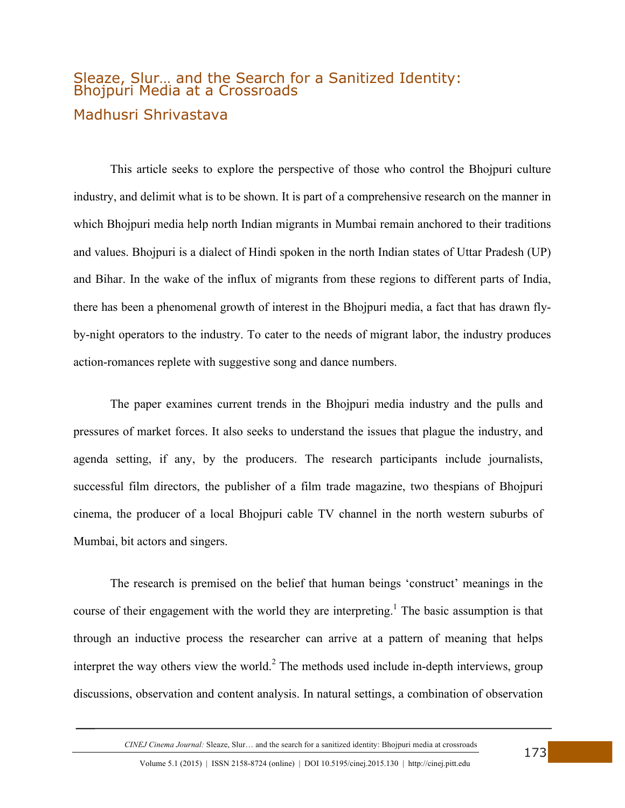# Sleaze, Slur… and the Search for a Sanitized Identity: Bhojpuri Media at a Crossroads Madhusri Shrivastava

This article seeks to explore the perspective of those who control the Bhojpuri culture industry, and delimit what is to be shown. It is part of a comprehensive research on the manner in which Bhojpuri media help north Indian migrants in Mumbai remain anchored to their traditions and values. Bhojpuri is a dialect of Hindi spoken in the north Indian states of Uttar Pradesh (UP) and Bihar. In the wake of the influx of migrants from these regions to different parts of India, there has been a phenomenal growth of interest in the Bhojpuri media, a fact that has drawn flyby-night operators to the industry. To cater to the needs of migrant labor, the industry produces action-romances replete with suggestive song and dance numbers.

The paper examines current trends in the Bhojpuri media industry and the pulls and pressures of market forces. It also seeks to understand the issues that plague the industry, and agenda setting, if any, by the producers. The research participants include journalists, successful film directors, the publisher of a film trade magazine, two thespians of Bhojpuri cinema, the producer of a local Bhojpuri cable TV channel in the north western suburbs of Mumbai, bit actors and singers.

The research is premised on the belief that human beings 'construct' meanings in the course of their engagement with the world they are interpreting.<sup>1</sup> The basic assumption is that through an inductive process the researcher can arrive at a pattern of meaning that helps interpret the way others view the world. $2$  The methods used include in-depth interviews, group discussions, observation and content analysis. In natural settings, a combination of observation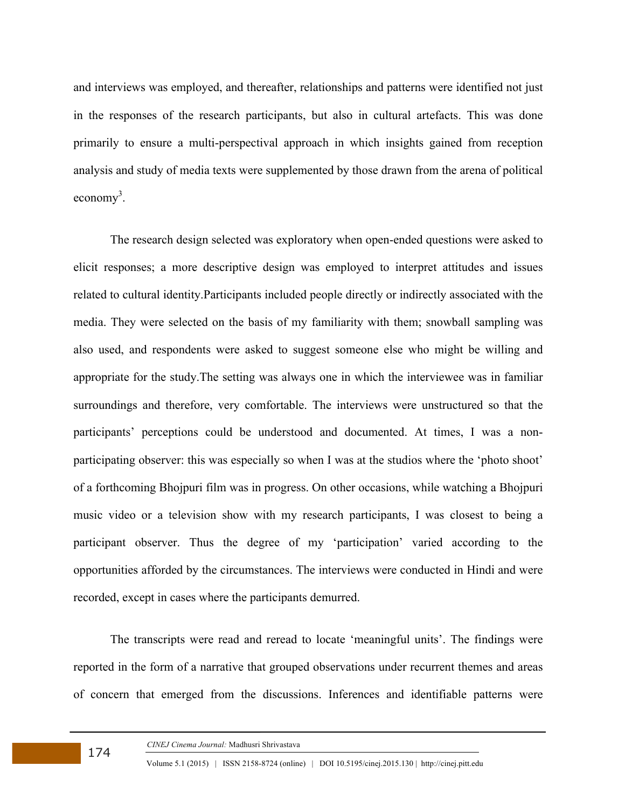and interviews was employed, and thereafter, relationships and patterns were identified not just in the responses of the research participants, but also in cultural artefacts. This was done primarily to ensure a multi-perspectival approach in which insights gained from reception analysis and study of media texts were supplemented by those drawn from the arena of political economy<sup>3</sup>.

The research design selected was exploratory when open-ended questions were asked to elicit responses; a more descriptive design was employed to interpret attitudes and issues related to cultural identity.Participants included people directly or indirectly associated with the media. They were selected on the basis of my familiarity with them; snowball sampling was also used, and respondents were asked to suggest someone else who might be willing and appropriate for the study.The setting was always one in which the interviewee was in familiar surroundings and therefore, very comfortable. The interviews were unstructured so that the participants' perceptions could be understood and documented. At times, I was a nonparticipating observer: this was especially so when I was at the studios where the 'photo shoot' of a forthcoming Bhojpuri film was in progress. On other occasions, while watching a Bhojpuri music video or a television show with my research participants, I was closest to being a participant observer. Thus the degree of my 'participation' varied according to the opportunities afforded by the circumstances. The interviews were conducted in Hindi and were recorded, except in cases where the participants demurred.

The transcripts were read and reread to locate 'meaningful units'. The findings were reported in the form of a narrative that grouped observations under recurrent themes and areas of concern that emerged from the discussions. Inferences and identifiable patterns were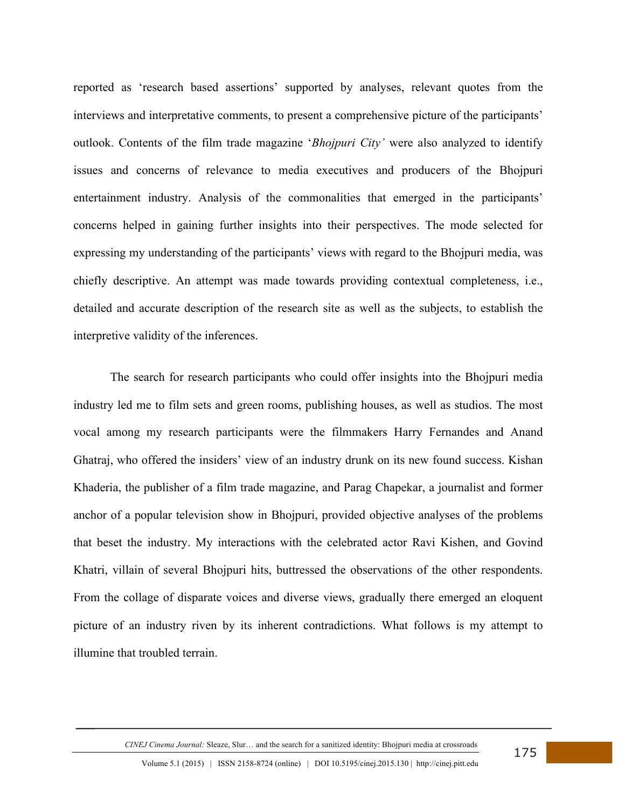reported as 'research based assertions' supported by analyses, relevant quotes from the interviews and interpretative comments, to present a comprehensive picture of the participants' outlook. Contents of the film trade magazine '*Bhojpuri City'* were also analyzed to identify issues and concerns of relevance to media executives and producers of the Bhojpuri entertainment industry. Analysis of the commonalities that emerged in the participants' concerns helped in gaining further insights into their perspectives. The mode selected for expressing my understanding of the participants' views with regard to the Bhojpuri media, was chiefly descriptive. An attempt was made towards providing contextual completeness, i.e., detailed and accurate description of the research site as well as the subjects, to establish the interpretive validity of the inferences.

The search for research participants who could offer insights into the Bhojpuri media industry led me to film sets and green rooms, publishing houses, as well as studios. The most vocal among my research participants were the filmmakers Harry Fernandes and Anand Ghatraj, who offered the insiders' view of an industry drunk on its new found success. Kishan Khaderia, the publisher of a film trade magazine, and Parag Chapekar, a journalist and former anchor of a popular television show in Bhojpuri, provided objective analyses of the problems that beset the industry. My interactions with the celebrated actor Ravi Kishen, and Govind Khatri, villain of several Bhojpuri hits, buttressed the observations of the other respondents. From the collage of disparate voices and diverse views, gradually there emerged an eloquent picture of an industry riven by its inherent contradictions. What follows is my attempt to illumine that troubled terrain.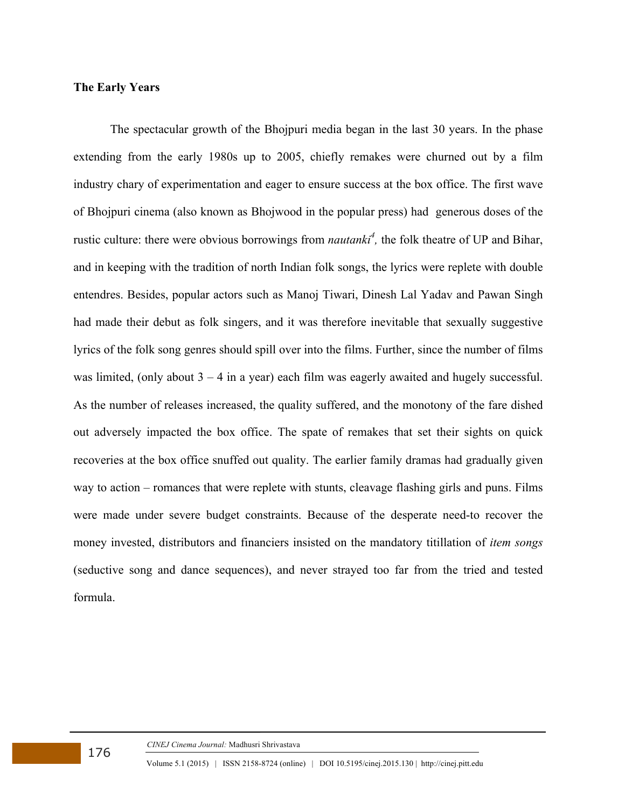# **The Early Years**

The spectacular growth of the Bhojpuri media began in the last 30 years. In the phase extending from the early 1980s up to 2005, chiefly remakes were churned out by a film industry chary of experimentation and eager to ensure success at the box office. The first wave of Bhojpuri cinema (also known as Bhojwood in the popular press) had generous doses of the rustic culture: there were obvious borrowings from *nautanki<sup>4</sup>*, the folk theatre of UP and Bihar, and in keeping with the tradition of north Indian folk songs, the lyrics were replete with double entendres. Besides, popular actors such as Manoj Tiwari, Dinesh Lal Yadav and Pawan Singh had made their debut as folk singers, and it was therefore inevitable that sexually suggestive lyrics of the folk song genres should spill over into the films. Further, since the number of films was limited, (only about  $3 - 4$  in a year) each film was eagerly awaited and hugely successful. As the number of releases increased, the quality suffered, and the monotony of the fare dished out adversely impacted the box office. The spate of remakes that set their sights on quick recoveries at the box office snuffed out quality. The earlier family dramas had gradually given way to action – romances that were replete with stunts, cleavage flashing girls and puns. Films were made under severe budget constraints. Because of the desperate need-to recover the money invested, distributors and financiers insisted on the mandatory titillation of *item songs* (seductive song and dance sequences), and never strayed too far from the tried and tested formula.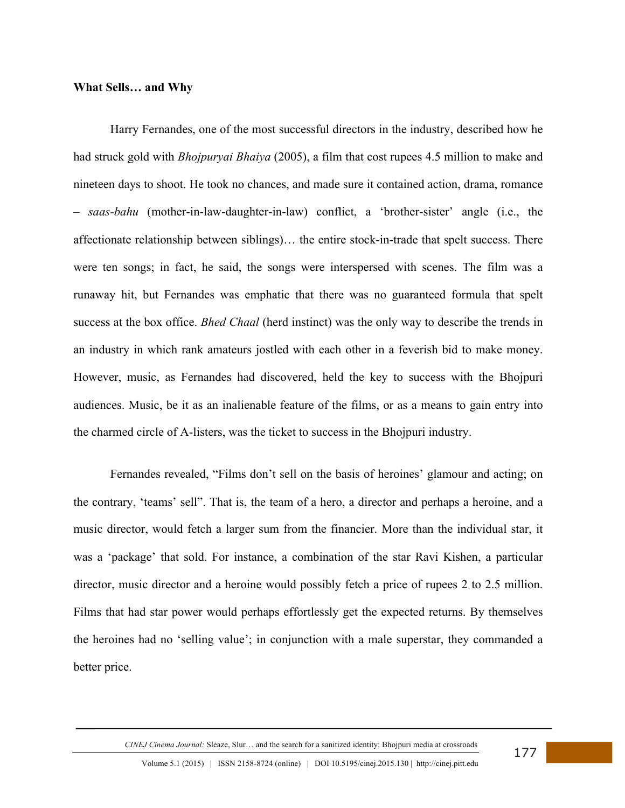#### **What Sells… and Why**

Harry Fernandes, one of the most successful directors in the industry, described how he had struck gold with *Bhojpuryai Bhaiya* (2005), a film that cost rupees 4.5 million to make and nineteen days to shoot. He took no chances, and made sure it contained action, drama, romance – *saas-bahu* (mother-in-law-daughter-in-law) conflict, a 'brother-sister' angle (i.e., the affectionate relationship between siblings)… the entire stock-in-trade that spelt success. There were ten songs; in fact, he said, the songs were interspersed with scenes. The film was a runaway hit, but Fernandes was emphatic that there was no guaranteed formula that spelt success at the box office. *Bhed Chaal* (herd instinct) was the only way to describe the trends in an industry in which rank amateurs jostled with each other in a feverish bid to make money. However, music, as Fernandes had discovered, held the key to success with the Bhojpuri audiences. Music, be it as an inalienable feature of the films, or as a means to gain entry into the charmed circle of A-listers, was the ticket to success in the Bhojpuri industry.

Fernandes revealed, "Films don't sell on the basis of heroines' glamour and acting; on the contrary, 'teams' sell". That is, the team of a hero, a director and perhaps a heroine, and a music director, would fetch a larger sum from the financier. More than the individual star, it was a 'package' that sold. For instance, a combination of the star Ravi Kishen, a particular director, music director and a heroine would possibly fetch a price of rupees 2 to 2.5 million. Films that had star power would perhaps effortlessly get the expected returns. By themselves the heroines had no 'selling value'; in conjunction with a male superstar, they commanded a better price.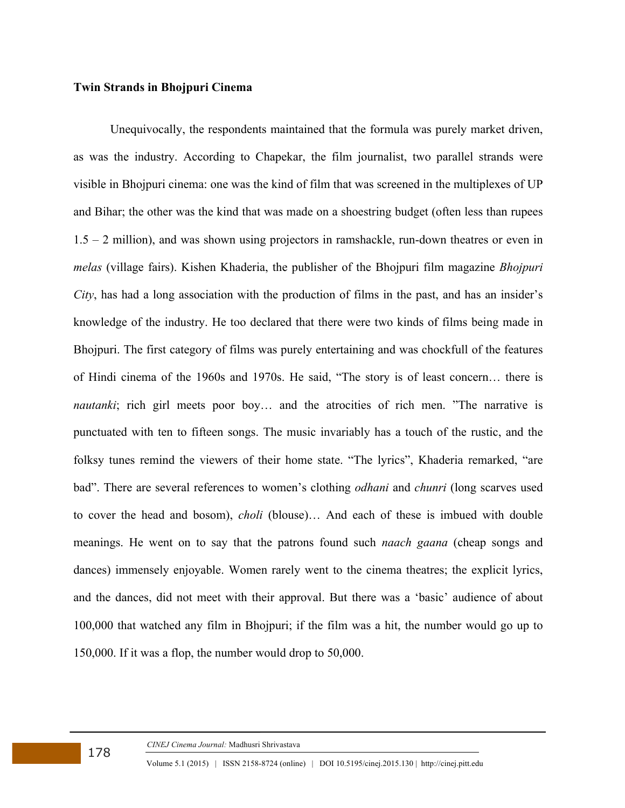#### **Twin Strands in Bhojpuri Cinema**

Unequivocally, the respondents maintained that the formula was purely market driven, as was the industry. According to Chapekar, the film journalist, two parallel strands were visible in Bhojpuri cinema: one was the kind of film that was screened in the multiplexes of UP and Bihar; the other was the kind that was made on a shoestring budget (often less than rupees  $1.5 - 2$  million), and was shown using projectors in ramshackle, run-down theatres or even in *melas* (village fairs). Kishen Khaderia, the publisher of the Bhojpuri film magazine *Bhojpuri City*, has had a long association with the production of films in the past, and has an insider's knowledge of the industry. He too declared that there were two kinds of films being made in Bhojpuri. The first category of films was purely entertaining and was chockfull of the features of Hindi cinema of the 1960s and 1970s. He said, "The story is of least concern… there is *nautanki*; rich girl meets poor boy... and the atrocities of rich men. "The narrative is punctuated with ten to fifteen songs. The music invariably has a touch of the rustic, and the folksy tunes remind the viewers of their home state. "The lyrics", Khaderia remarked, "are bad". There are several references to women's clothing *odhani* and *chunri* (long scarves used to cover the head and bosom), *choli* (blouse)… And each of these is imbued with double meanings. He went on to say that the patrons found such *naach gaana* (cheap songs and dances) immensely enjoyable. Women rarely went to the cinema theatres; the explicit lyrics, and the dances, did not meet with their approval. But there was a 'basic' audience of about 100,000 that watched any film in Bhojpuri; if the film was a hit, the number would go up to 150,000. If it was a flop, the number would drop to 50,000.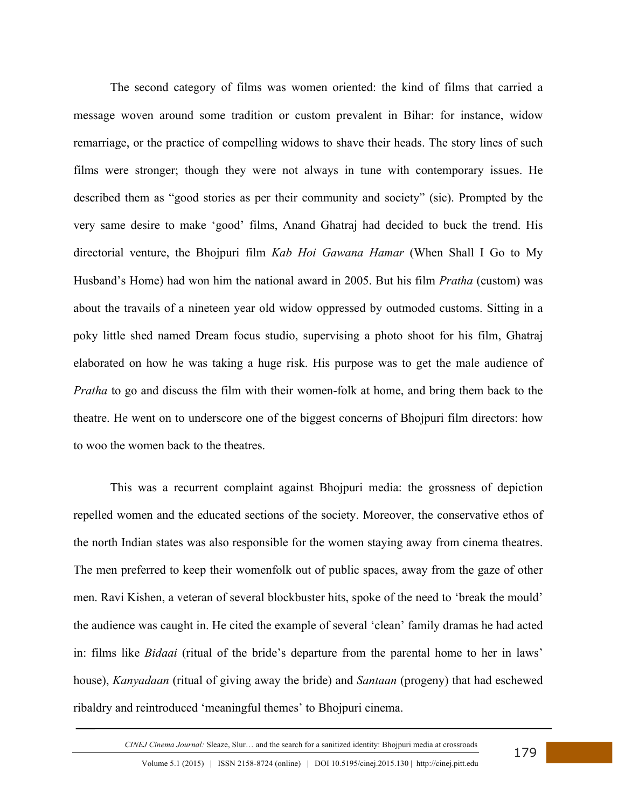The second category of films was women oriented: the kind of films that carried a message woven around some tradition or custom prevalent in Bihar: for instance, widow remarriage, or the practice of compelling widows to shave their heads. The story lines of such films were stronger; though they were not always in tune with contemporary issues. He described them as "good stories as per their community and society" (sic). Prompted by the very same desire to make 'good' films, Anand Ghatraj had decided to buck the trend. His directorial venture, the Bhojpuri film *Kab Hoi Gawana Hamar* (When Shall I Go to My Husband's Home) had won him the national award in 2005. But his film *Pratha* (custom) was about the travails of a nineteen year old widow oppressed by outmoded customs. Sitting in a poky little shed named Dream focus studio, supervising a photo shoot for his film, Ghatraj elaborated on how he was taking a huge risk. His purpose was to get the male audience of *Pratha* to go and discuss the film with their women-folk at home, and bring them back to the theatre. He went on to underscore one of the biggest concerns of Bhojpuri film directors: how to woo the women back to the theatres.

This was a recurrent complaint against Bhojpuri media: the grossness of depiction repelled women and the educated sections of the society. Moreover, the conservative ethos of the north Indian states was also responsible for the women staying away from cinema theatres. The men preferred to keep their womenfolk out of public spaces, away from the gaze of other men. Ravi Kishen, a veteran of several blockbuster hits, spoke of the need to 'break the mould' the audience was caught in. He cited the example of several 'clean' family dramas he had acted in: films like *Bidaai* (ritual of the bride's departure from the parental home to her in laws' house), *Kanyadaan* (ritual of giving away the bride) and *Santaan* (progeny) that had eschewed ribaldry and reintroduced 'meaningful themes' to Bhojpuri cinema.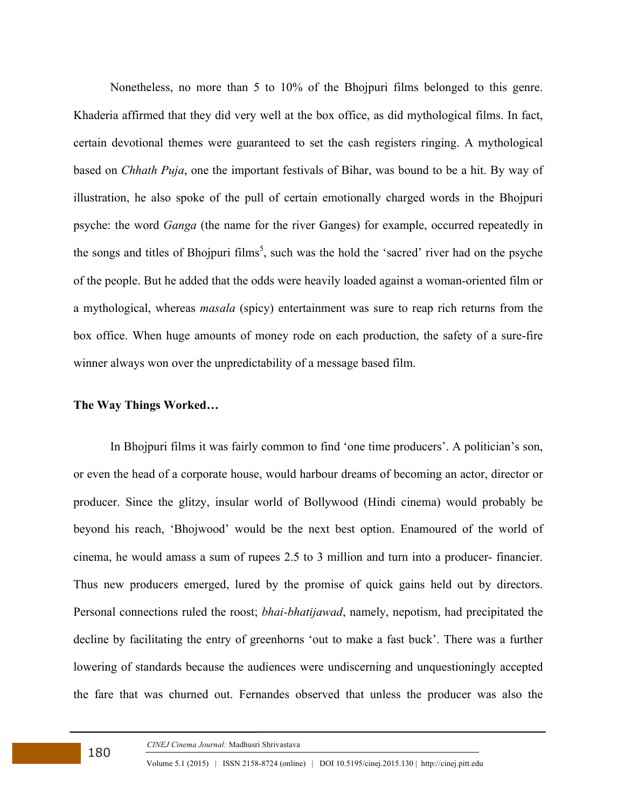Nonetheless, no more than 5 to 10% of the Bhojpuri films belonged to this genre. Khaderia affirmed that they did very well at the box office, as did mythological films. In fact, certain devotional themes were guaranteed to set the cash registers ringing. A mythological based on *Chhath Puja*, one the important festivals of Bihar, was bound to be a hit. By way of illustration, he also spoke of the pull of certain emotionally charged words in the Bhojpuri psyche: the word *Ganga* (the name for the river Ganges) for example, occurred repeatedly in the songs and titles of Bhojpuri films<sup>5</sup>, such was the hold the 'sacred' river had on the psyche of the people. But he added that the odds were heavily loaded against a woman-oriented film or a mythological, whereas *masala* (spicy) entertainment was sure to reap rich returns from the box office. When huge amounts of money rode on each production, the safety of a sure-fire winner always won over the unpredictability of a message based film.

#### **The Way Things Worked…**

In Bhojpuri films it was fairly common to find 'one time producers'. A politician's son, or even the head of a corporate house, would harbour dreams of becoming an actor, director or producer. Since the glitzy, insular world of Bollywood (Hindi cinema) would probably be beyond his reach, 'Bhojwood' would be the next best option. Enamoured of the world of cinema, he would amass a sum of rupees 2.5 to 3 million and turn into a producer- financier. Thus new producers emerged, lured by the promise of quick gains held out by directors. Personal connections ruled the roost; *bhai-bhatijawad*, namely, nepotism, had precipitated the decline by facilitating the entry of greenhorns 'out to make a fast buck'. There was a further lowering of standards because the audiences were undiscerning and unquestioningly accepted the fare that was churned out. Fernandes observed that unless the producer was also the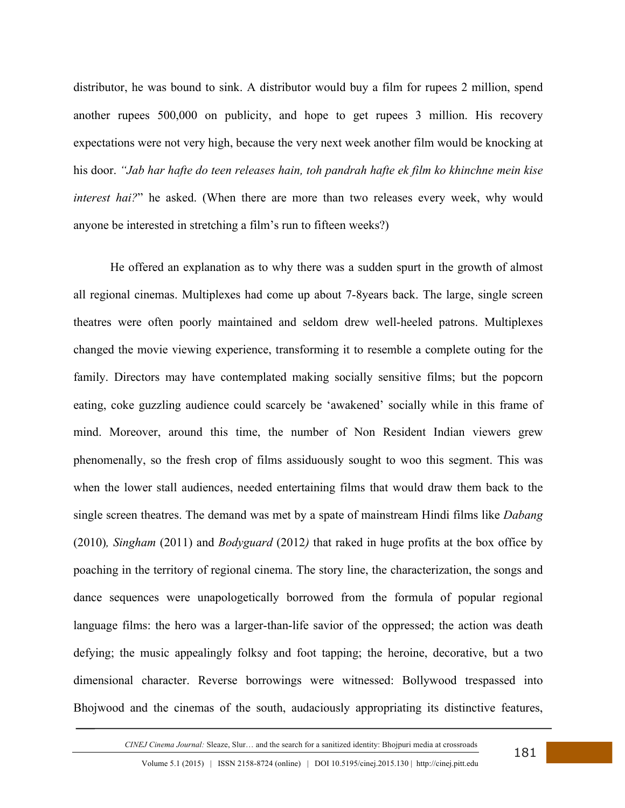distributor, he was bound to sink. A distributor would buy a film for rupees 2 million, spend another rupees 500,000 on publicity, and hope to get rupees 3 million. His recovery expectations were not very high, because the very next week another film would be knocking at his door. *"Jab har hafte do teen releases hain, toh pandrah hafte ek film ko khinchne mein kise interest hai?*" he asked. (When there are more than two releases every week, why would anyone be interested in stretching a film's run to fifteen weeks?)

He offered an explanation as to why there was a sudden spurt in the growth of almost all regional cinemas. Multiplexes had come up about 7-8years back. The large, single screen theatres were often poorly maintained and seldom drew well-heeled patrons. Multiplexes changed the movie viewing experience, transforming it to resemble a complete outing for the family. Directors may have contemplated making socially sensitive films; but the popcorn eating, coke guzzling audience could scarcely be 'awakened' socially while in this frame of mind. Moreover, around this time, the number of Non Resident Indian viewers grew phenomenally, so the fresh crop of films assiduously sought to woo this segment. This was when the lower stall audiences, needed entertaining films that would draw them back to the single screen theatres. The demand was met by a spate of mainstream Hindi films like *Dabang*  (2010)*, Singham* (2011) and *Bodyguard* (2012*)* that raked in huge profits at the box office by poaching in the territory of regional cinema. The story line, the characterization, the songs and dance sequences were unapologetically borrowed from the formula of popular regional language films: the hero was a larger-than-life savior of the oppressed; the action was death defying; the music appealingly folksy and foot tapping; the heroine, decorative, but a two dimensional character. Reverse borrowings were witnessed: Bollywood trespassed into Bhojwood and the cinemas of the south, audaciously appropriating its distinctive features,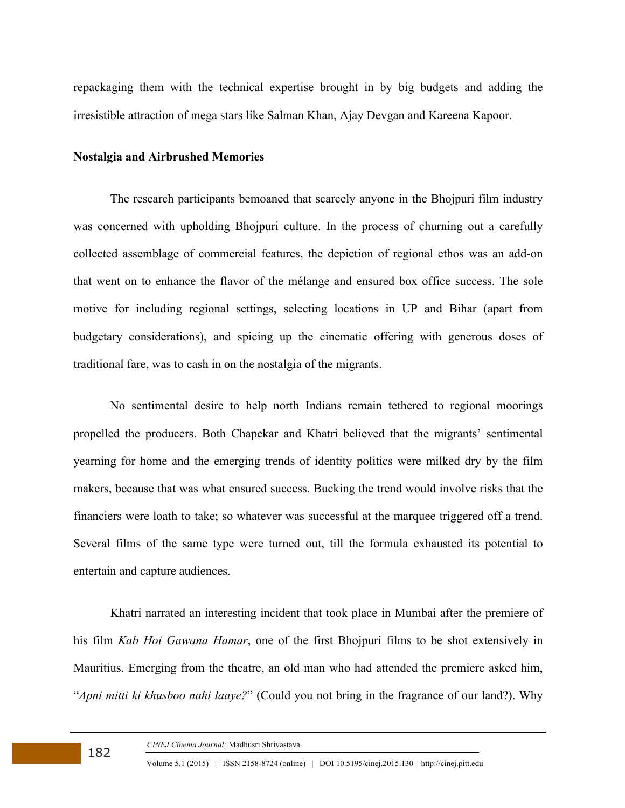repackaging them with the technical expertise brought in by big budgets and adding the irresistible attraction of mega stars like Salman Khan, Ajay Devgan and Kareena Kapoor.

### **Nostalgia and Airbrushed Memories**

The research participants bemoaned that scarcely anyone in the Bhojpuri film industry was concerned with upholding Bhojpuri culture. In the process of churning out a carefully collected assemblage of commercial features, the depiction of regional ethos was an add-on that went on to enhance the flavor of the mélange and ensured box office success. The sole motive for including regional settings, selecting locations in UP and Bihar (apart from budgetary considerations), and spicing up the cinematic offering with generous doses of traditional fare, was to cash in on the nostalgia of the migrants.

No sentimental desire to help north Indians remain tethered to regional moorings propelled the producers. Both Chapekar and Khatri believed that the migrants' sentimental yearning for home and the emerging trends of identity politics were milked dry by the film makers, because that was what ensured success. Bucking the trend would involve risks that the financiers were loath to take; so whatever was successful at the marquee triggered off a trend. Several films of the same type were turned out, till the formula exhausted its potential to entertain and capture audiences.

Khatri narrated an interesting incident that took place in Mumbai after the premiere of his film *Kab Hoi Gawana Hamar*, one of the first Bhojpuri films to be shot extensively in Mauritius. Emerging from the theatre, an old man who had attended the premiere asked him, "*Apni mitti ki khusboo nahi laaye?*" (Could you not bring in the fragrance of our land?). Why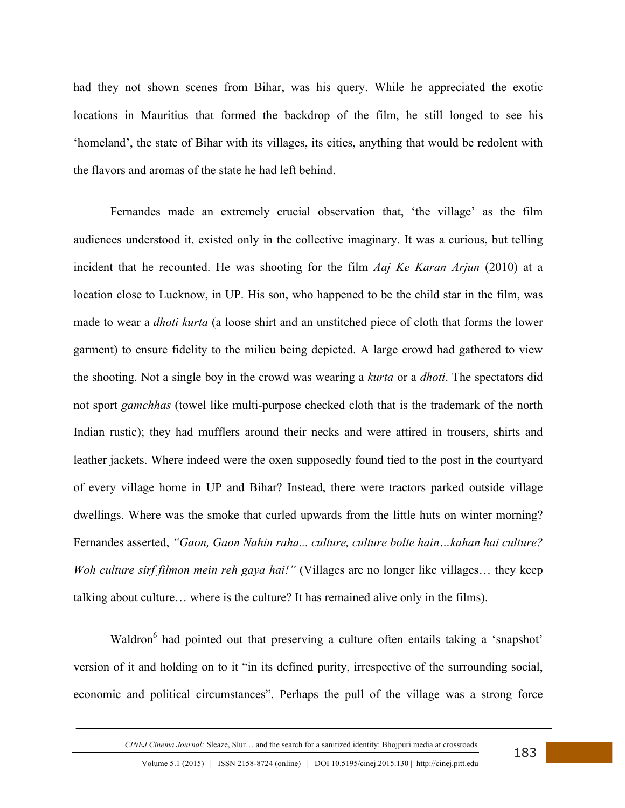had they not shown scenes from Bihar, was his query. While he appreciated the exotic locations in Mauritius that formed the backdrop of the film, he still longed to see his 'homeland', the state of Bihar with its villages, its cities, anything that would be redolent with the flavors and aromas of the state he had left behind.

Fernandes made an extremely crucial observation that, 'the village' as the film audiences understood it, existed only in the collective imaginary. It was a curious, but telling incident that he recounted. He was shooting for the film *Aaj Ke Karan Arjun* (2010) at a location close to Lucknow, in UP. His son, who happened to be the child star in the film, was made to wear a *dhoti kurta* (a loose shirt and an unstitched piece of cloth that forms the lower garment) to ensure fidelity to the milieu being depicted. A large crowd had gathered to view the shooting. Not a single boy in the crowd was wearing a *kurta* or a *dhoti*. The spectators did not sport *gamchhas* (towel like multi-purpose checked cloth that is the trademark of the north Indian rustic); they had mufflers around their necks and were attired in trousers, shirts and leather jackets. Where indeed were the oxen supposedly found tied to the post in the courtyard of every village home in UP and Bihar? Instead, there were tractors parked outside village dwellings. Where was the smoke that curled upwards from the little huts on winter morning? Fernandes asserted, *"Gaon, Gaon Nahin raha... culture, culture bolte hain…kahan hai culture? Woh culture sirf filmon mein reh gaya hai!*" (Villages are no longer like villages... they keep talking about culture… where is the culture? It has remained alive only in the films).

Waldron<sup>6</sup> had pointed out that preserving a culture often entails taking a 'snapshot' version of it and holding on to it "in its defined purity, irrespective of the surrounding social, economic and political circumstances". Perhaps the pull of the village was a strong force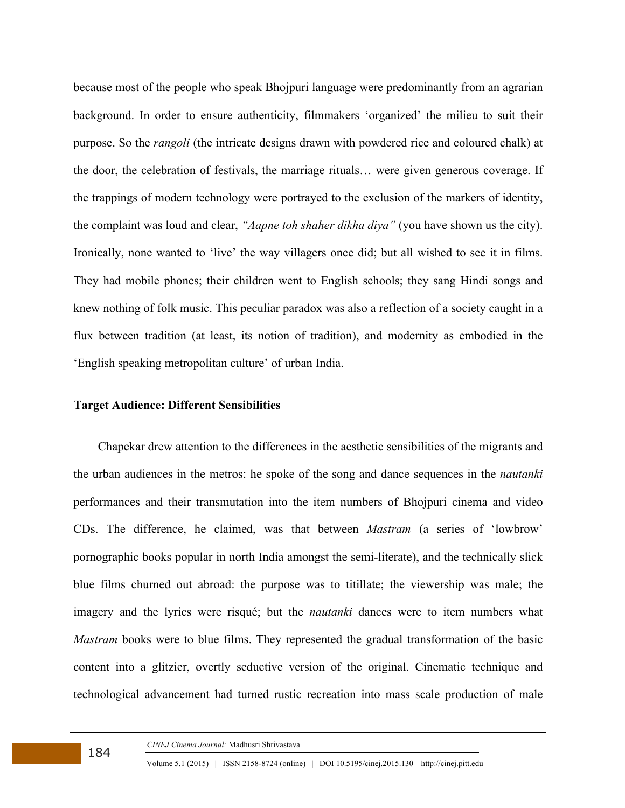because most of the people who speak Bhojpuri language were predominantly from an agrarian background. In order to ensure authenticity, filmmakers 'organized' the milieu to suit their purpose. So the *rangoli* (the intricate designs drawn with powdered rice and coloured chalk) at the door, the celebration of festivals, the marriage rituals… were given generous coverage. If the trappings of modern technology were portrayed to the exclusion of the markers of identity, the complaint was loud and clear, *"Aapne toh shaher dikha diya"* (you have shown us the city). Ironically, none wanted to 'live' the way villagers once did; but all wished to see it in films. They had mobile phones; their children went to English schools; they sang Hindi songs and knew nothing of folk music. This peculiar paradox was also a reflection of a society caught in a flux between tradition (at least, its notion of tradition), and modernity as embodied in the 'English speaking metropolitan culture' of urban India.

#### **Target Audience: Different Sensibilities**

 Chapekar drew attention to the differences in the aesthetic sensibilities of the migrants and the urban audiences in the metros: he spoke of the song and dance sequences in the *nautanki* performances and their transmutation into the item numbers of Bhojpuri cinema and video CDs. The difference, he claimed, was that between *Mastram* (a series of 'lowbrow' pornographic books popular in north India amongst the semi-literate), and the technically slick blue films churned out abroad: the purpose was to titillate; the viewership was male; the imagery and the lyrics were risqué; but the *nautanki* dances were to item numbers what *Mastram* books were to blue films. They represented the gradual transformation of the basic content into a glitzier, overtly seductive version of the original. Cinematic technique and technological advancement had turned rustic recreation into mass scale production of male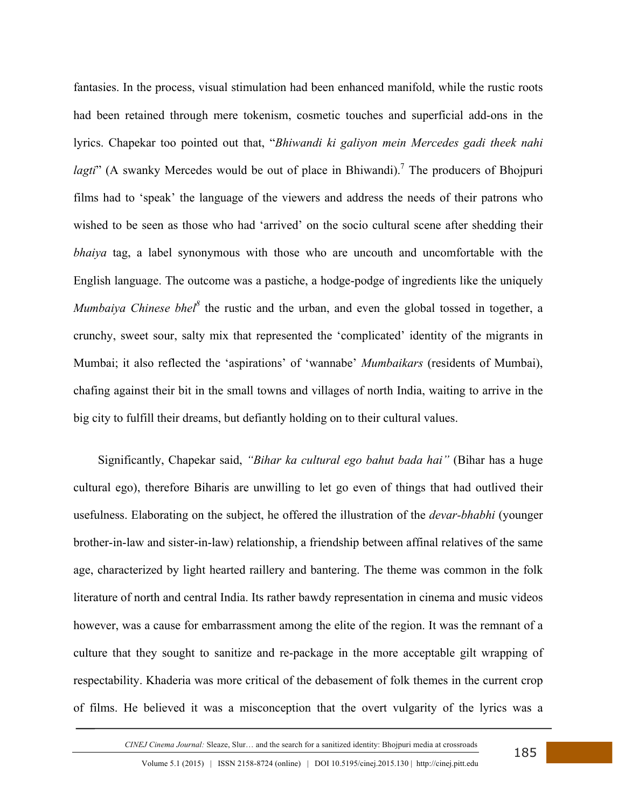fantasies. In the process, visual stimulation had been enhanced manifold, while the rustic roots had been retained through mere tokenism, cosmetic touches and superficial add-ons in the lyrics. Chapekar too pointed out that, "*Bhiwandi ki galiyon mein Mercedes gadi theek nahi lagti*" (A swanky Mercedes would be out of place in Bhiwandi).<sup>7</sup> The producers of Bhojpuri films had to 'speak' the language of the viewers and address the needs of their patrons who wished to be seen as those who had 'arrived' on the socio cultural scene after shedding their *bhaiya* tag, a label synonymous with those who are uncouth and uncomfortable with the English language. The outcome was a pastiche, a hodge-podge of ingredients like the uniquely *Mumbaiya Chinese bhel*<sup>8</sup> the rustic and the urban, and even the global tossed in together, a crunchy, sweet sour, salty mix that represented the 'complicated' identity of the migrants in Mumbai; it also reflected the 'aspirations' of 'wannabe' *Mumbaikars* (residents of Mumbai), chafing against their bit in the small towns and villages of north India, waiting to arrive in the big city to fulfill their dreams, but defiantly holding on to their cultural values.

 Significantly, Chapekar said, *"Bihar ka cultural ego bahut bada hai"* (Bihar has a huge cultural ego), therefore Biharis are unwilling to let go even of things that had outlived their usefulness. Elaborating on the subject, he offered the illustration of the *devar-bhabhi* (younger brother-in-law and sister-in-law) relationship, a friendship between affinal relatives of the same age, characterized by light hearted raillery and bantering. The theme was common in the folk literature of north and central India. Its rather bawdy representation in cinema and music videos however, was a cause for embarrassment among the elite of the region. It was the remnant of a culture that they sought to sanitize and re-package in the more acceptable gilt wrapping of respectability. Khaderia was more critical of the debasement of folk themes in the current crop of films. He believed it was a misconception that the overt vulgarity of the lyrics was a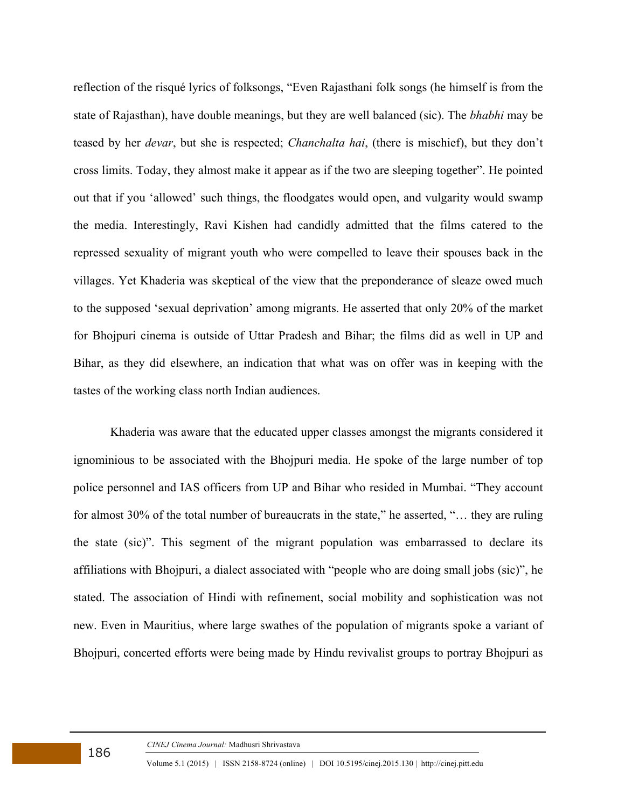reflection of the risqué lyrics of folksongs, "Even Rajasthani folk songs (he himself is from the state of Rajasthan), have double meanings, but they are well balanced (sic). The *bhabhi* may be teased by her *devar*, but she is respected; *Chanchalta hai*, (there is mischief), but they don't cross limits. Today, they almost make it appear as if the two are sleeping together". He pointed out that if you 'allowed' such things, the floodgates would open, and vulgarity would swamp the media. Interestingly, Ravi Kishen had candidly admitted that the films catered to the repressed sexuality of migrant youth who were compelled to leave their spouses back in the villages. Yet Khaderia was skeptical of the view that the preponderance of sleaze owed much to the supposed 'sexual deprivation' among migrants. He asserted that only 20% of the market for Bhojpuri cinema is outside of Uttar Pradesh and Bihar; the films did as well in UP and Bihar, as they did elsewhere, an indication that what was on offer was in keeping with the tastes of the working class north Indian audiences.

Khaderia was aware that the educated upper classes amongst the migrants considered it ignominious to be associated with the Bhojpuri media. He spoke of the large number of top police personnel and IAS officers from UP and Bihar who resided in Mumbai. "They account for almost 30% of the total number of bureaucrats in the state," he asserted, "… they are ruling the state (sic)". This segment of the migrant population was embarrassed to declare its affiliations with Bhojpuri, a dialect associated with "people who are doing small jobs (sic)", he stated. The association of Hindi with refinement, social mobility and sophistication was not new. Even in Mauritius, where large swathes of the population of migrants spoke a variant of Bhojpuri, concerted efforts were being made by Hindu revivalist groups to portray Bhojpuri as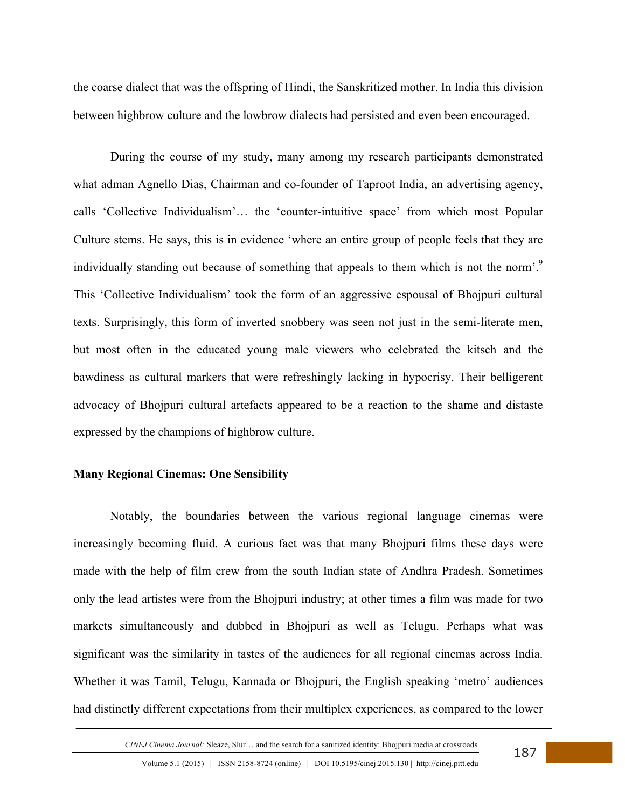the coarse dialect that was the offspring of Hindi, the Sanskritized mother. In India this division between highbrow culture and the lowbrow dialects had persisted and even been encouraged.

During the course of my study, many among my research participants demonstrated what adman Agnello Dias, Chairman and co-founder of Taproot India, an advertising agency, calls 'Collective Individualism'… the 'counter-intuitive space' from which most Popular Culture stems. He says, this is in evidence 'where an entire group of people feels that they are individually standing out because of something that appeals to them which is not the norm'.<sup>9</sup> This 'Collective Individualism' took the form of an aggressive espousal of Bhojpuri cultural texts. Surprisingly, this form of inverted snobbery was seen not just in the semi-literate men, but most often in the educated young male viewers who celebrated the kitsch and the bawdiness as cultural markers that were refreshingly lacking in hypocrisy. Their belligerent advocacy of Bhojpuri cultural artefacts appeared to be a reaction to the shame and distaste expressed by the champions of highbrow culture.

#### **Many Regional Cinemas: One Sensibility**

Notably, the boundaries between the various regional language cinemas were increasingly becoming fluid. A curious fact was that many Bhojpuri films these days were made with the help of film crew from the south Indian state of Andhra Pradesh. Sometimes only the lead artistes were from the Bhojpuri industry; at other times a film was made for two markets simultaneously and dubbed in Bhojpuri as well as Telugu. Perhaps what was significant was the similarity in tastes of the audiences for all regional cinemas across India. Whether it was Tamil, Telugu, Kannada or Bhojpuri, the English speaking 'metro' audiences had distinctly different expectations from their multiplex experiences, as compared to the lower

*CINEJ Cinema Journal:* Sleaze, Slur… and the search for a sanitized identity: Bhojpuri media at crossroads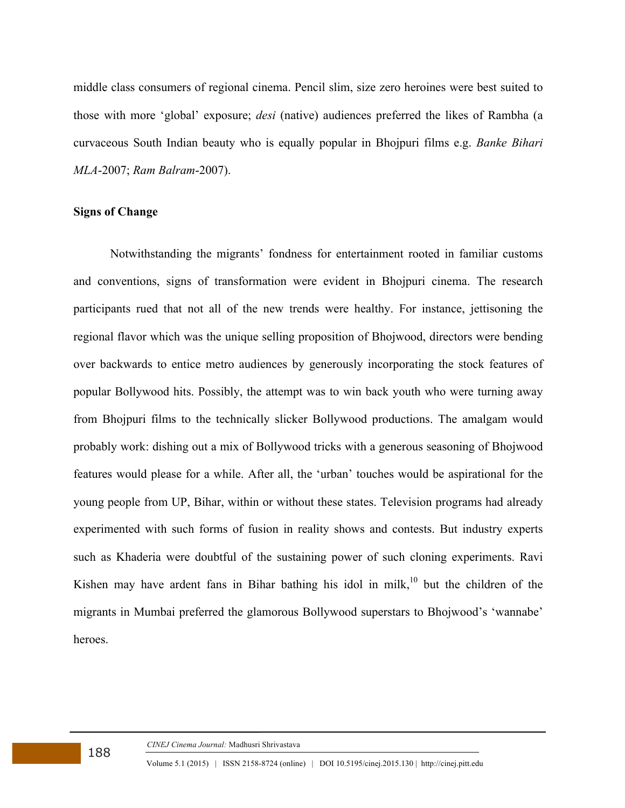middle class consumers of regional cinema. Pencil slim, size zero heroines were best suited to those with more 'global' exposure; *desi* (native) audiences preferred the likes of Rambha (a curvaceous South Indian beauty who is equally popular in Bhojpuri films e.g. *Banke Bihari MLA*-2007; *Ram Balram*-2007).

### **Signs of Change**

Notwithstanding the migrants' fondness for entertainment rooted in familiar customs and conventions, signs of transformation were evident in Bhojpuri cinema. The research participants rued that not all of the new trends were healthy. For instance, jettisoning the regional flavor which was the unique selling proposition of Bhojwood, directors were bending over backwards to entice metro audiences by generously incorporating the stock features of popular Bollywood hits. Possibly, the attempt was to win back youth who were turning away from Bhojpuri films to the technically slicker Bollywood productions. The amalgam would probably work: dishing out a mix of Bollywood tricks with a generous seasoning of Bhojwood features would please for a while. After all, the 'urban' touches would be aspirational for the young people from UP, Bihar, within or without these states. Television programs had already experimented with such forms of fusion in reality shows and contests. But industry experts such as Khaderia were doubtful of the sustaining power of such cloning experiments. Ravi Kishen may have ardent fans in Bihar bathing his idol in milk,<sup>10</sup> but the children of the migrants in Mumbai preferred the glamorous Bollywood superstars to Bhojwood's 'wannabe' heroes.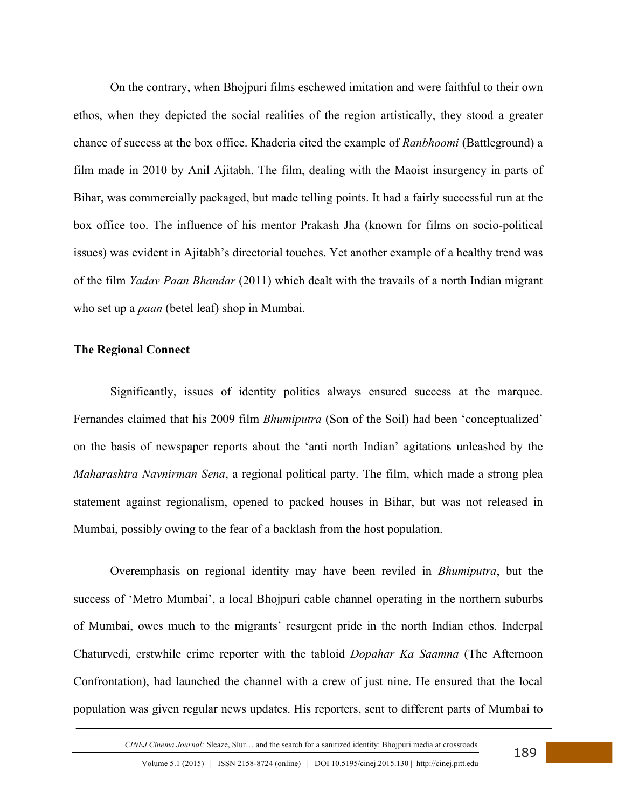On the contrary, when Bhojpuri films eschewed imitation and were faithful to their own ethos, when they depicted the social realities of the region artistically, they stood a greater chance of success at the box office. Khaderia cited the example of *Ranbhoomi* (Battleground) a film made in 2010 by Anil Ajitabh. The film, dealing with the Maoist insurgency in parts of Bihar, was commercially packaged, but made telling points. It had a fairly successful run at the box office too. The influence of his mentor Prakash Jha (known for films on socio-political issues) was evident in Ajitabh's directorial touches. Yet another example of a healthy trend was of the film *Yadav Paan Bhandar* (2011) which dealt with the travails of a north Indian migrant who set up a *paan* (betel leaf) shop in Mumbai.

### **The Regional Connect**

Significantly, issues of identity politics always ensured success at the marquee. Fernandes claimed that his 2009 film *Bhumiputra* (Son of the Soil) had been 'conceptualized' on the basis of newspaper reports about the 'anti north Indian' agitations unleashed by the *Maharashtra Navnirman Sena*, a regional political party. The film, which made a strong plea statement against regionalism, opened to packed houses in Bihar, but was not released in Mumbai, possibly owing to the fear of a backlash from the host population.

Overemphasis on regional identity may have been reviled in *Bhumiputra*, but the success of 'Metro Mumbai', a local Bhojpuri cable channel operating in the northern suburbs of Mumbai, owes much to the migrants' resurgent pride in the north Indian ethos. Inderpal Chaturvedi, erstwhile crime reporter with the tabloid *Dopahar Ka Saamna* (The Afternoon Confrontation), had launched the channel with a crew of just nine. He ensured that the local population was given regular news updates. His reporters, sent to different parts of Mumbai to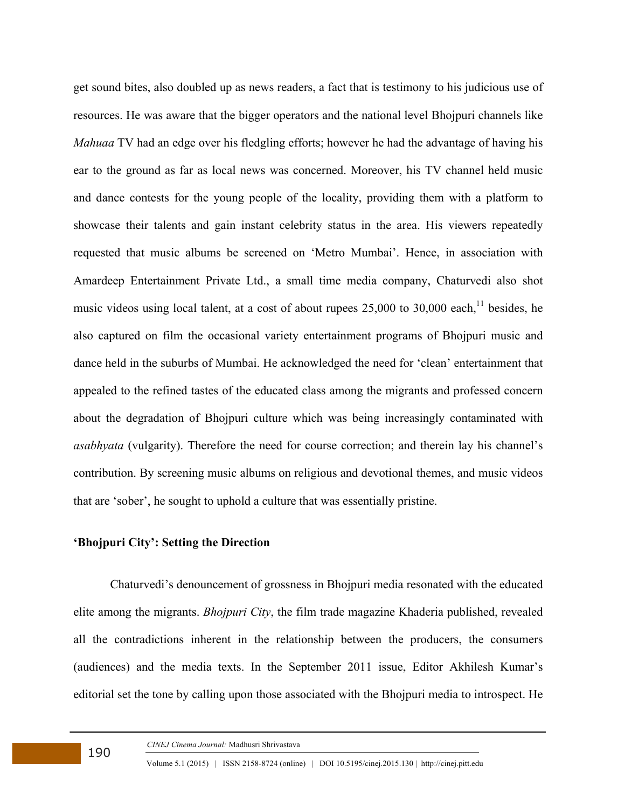get sound bites, also doubled up as news readers, a fact that is testimony to his judicious use of resources. He was aware that the bigger operators and the national level Bhojpuri channels like *Mahuaa* TV had an edge over his fledgling efforts; however he had the advantage of having his ear to the ground as far as local news was concerned. Moreover, his TV channel held music and dance contests for the young people of the locality, providing them with a platform to showcase their talents and gain instant celebrity status in the area. His viewers repeatedly requested that music albums be screened on 'Metro Mumbai'. Hence, in association with Amardeep Entertainment Private Ltd., a small time media company, Chaturvedi also shot music videos using local talent, at a cost of about rupees  $25,000$  to  $30,000$  each,<sup>11</sup> besides, he also captured on film the occasional variety entertainment programs of Bhojpuri music and dance held in the suburbs of Mumbai. He acknowledged the need for 'clean' entertainment that appealed to the refined tastes of the educated class among the migrants and professed concern about the degradation of Bhojpuri culture which was being increasingly contaminated with *asabhyata* (vulgarity). Therefore the need for course correction; and therein lay his channel's contribution. By screening music albums on religious and devotional themes, and music videos that are 'sober', he sought to uphold a culture that was essentially pristine.

## **'Bhojpuri City': Setting the Direction**

Chaturvedi's denouncement of grossness in Bhojpuri media resonated with the educated elite among the migrants. *Bhojpuri City*, the film trade magazine Khaderia published, revealed all the contradictions inherent in the relationship between the producers, the consumers (audiences) and the media texts. In the September 2011 issue, Editor Akhilesh Kumar's editorial set the tone by calling upon those associated with the Bhojpuri media to introspect. He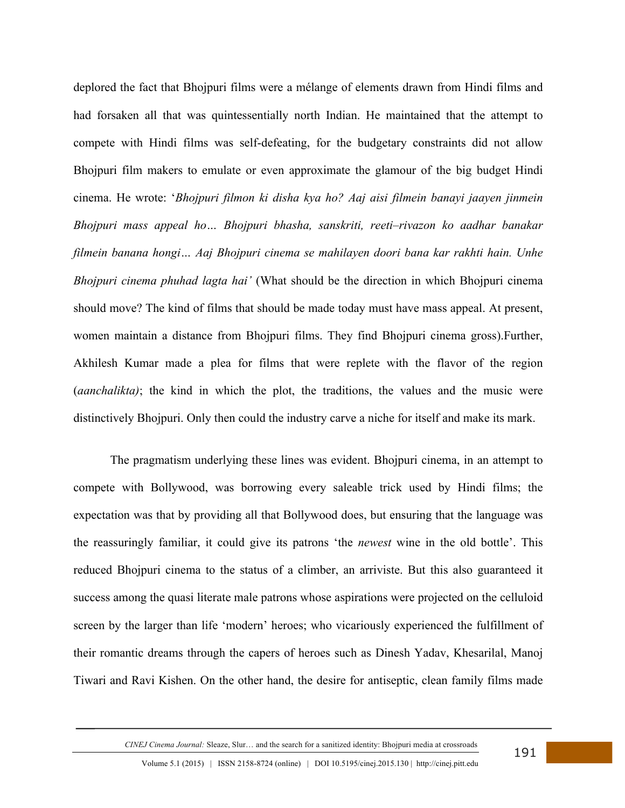deplored the fact that Bhojpuri films were a mélange of elements drawn from Hindi films and had forsaken all that was quintessentially north Indian. He maintained that the attempt to compete with Hindi films was self-defeating, for the budgetary constraints did not allow Bhojpuri film makers to emulate or even approximate the glamour of the big budget Hindi cinema. He wrote: '*Bhojpuri filmon ki disha kya ho? Aaj aisi filmein banayi jaayen jinmein Bhojpuri mass appeal ho… Bhojpuri bhasha, sanskriti, reeti–rivazon ko aadhar banakar filmein banana hongi… Aaj Bhojpuri cinema se mahilayen doori bana kar rakhti hain. Unhe Bhojpuri cinema phuhad lagta hai'* (What should be the direction in which Bhojpuri cinema should move? The kind of films that should be made today must have mass appeal. At present, women maintain a distance from Bhojpuri films. They find Bhojpuri cinema gross).Further, Akhilesh Kumar made a plea for films that were replete with the flavor of the region (*aanchalikta)*; the kind in which the plot, the traditions, the values and the music were distinctively Bhojpuri. Only then could the industry carve a niche for itself and make its mark.

The pragmatism underlying these lines was evident. Bhojpuri cinema, in an attempt to compete with Bollywood, was borrowing every saleable trick used by Hindi films; the expectation was that by providing all that Bollywood does, but ensuring that the language was the reassuringly familiar, it could give its patrons 'the *newest* wine in the old bottle'. This reduced Bhojpuri cinema to the status of a climber, an arriviste. But this also guaranteed it success among the quasi literate male patrons whose aspirations were projected on the celluloid screen by the larger than life 'modern' heroes; who vicariously experienced the fulfillment of their romantic dreams through the capers of heroes such as Dinesh Yadav, Khesarilal, Manoj Tiwari and Ravi Kishen. On the other hand, the desire for antiseptic, clean family films made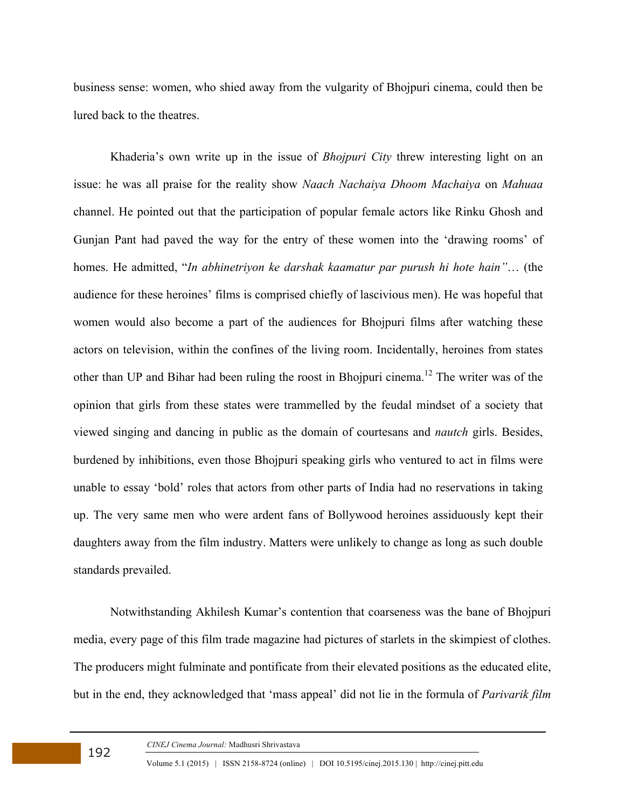business sense: women, who shied away from the vulgarity of Bhojpuri cinema, could then be lured back to the theatres.

Khaderia's own write up in the issue of *Bhojpuri City* threw interesting light on an issue: he was all praise for the reality show *Naach Nachaiya Dhoom Machaiya* on *Mahuaa* channel. He pointed out that the participation of popular female actors like Rinku Ghosh and Gunjan Pant had paved the way for the entry of these women into the 'drawing rooms' of homes. He admitted, "*In abhinetriyon ke darshak kaamatur par purush hi hote hain"*… (the audience for these heroines' films is comprised chiefly of lascivious men). He was hopeful that women would also become a part of the audiences for Bhojpuri films after watching these actors on television, within the confines of the living room. Incidentally, heroines from states other than UP and Bihar had been ruling the roost in Bhojpuri cinema.<sup>12</sup> The writer was of the opinion that girls from these states were trammelled by the feudal mindset of a society that viewed singing and dancing in public as the domain of courtesans and *nautch* girls. Besides, burdened by inhibitions, even those Bhojpuri speaking girls who ventured to act in films were unable to essay 'bold' roles that actors from other parts of India had no reservations in taking up. The very same men who were ardent fans of Bollywood heroines assiduously kept their daughters away from the film industry. Matters were unlikely to change as long as such double standards prevailed.

Notwithstanding Akhilesh Kumar's contention that coarseness was the bane of Bhojpuri media, every page of this film trade magazine had pictures of starlets in the skimpiest of clothes. The producers might fulminate and pontificate from their elevated positions as the educated elite, but in the end, they acknowledged that 'mass appeal' did not lie in the formula of *Parivarik film*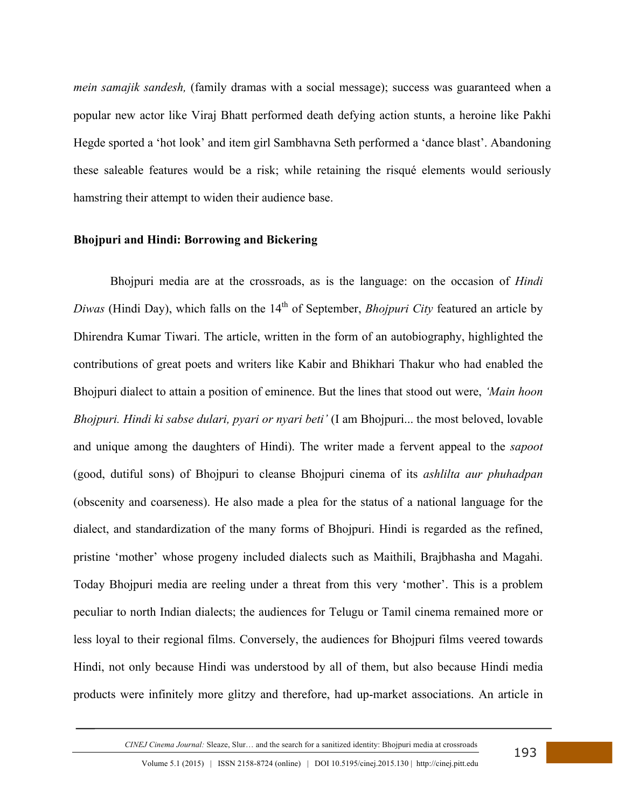*mein samajik sandesh,* (family dramas with a social message); success was guaranteed when a popular new actor like Viraj Bhatt performed death defying action stunts, a heroine like Pakhi Hegde sported a 'hot look' and item girl Sambhavna Seth performed a 'dance blast'. Abandoning these saleable features would be a risk; while retaining the risqué elements would seriously hamstring their attempt to widen their audience base.

#### **Bhojpuri and Hindi: Borrowing and Bickering**

Bhojpuri media are at the crossroads, as is the language: on the occasion of *Hindi Diwas* (Hindi Day), which falls on the 14<sup>th</sup> of September, *Bhojpuri City* featured an article by Dhirendra Kumar Tiwari. The article, written in the form of an autobiography, highlighted the contributions of great poets and writers like Kabir and Bhikhari Thakur who had enabled the Bhojpuri dialect to attain a position of eminence. But the lines that stood out were, *'Main hoon Bhojpuri. Hindi ki sabse dulari, pyari or nyari beti'* (I am Bhojpuri... the most beloved, lovable and unique among the daughters of Hindi). The writer made a fervent appeal to the *sapoot*  (good, dutiful sons) of Bhojpuri to cleanse Bhojpuri cinema of its *ashlilta aur phuhadpan* (obscenity and coarseness). He also made a plea for the status of a national language for the dialect, and standardization of the many forms of Bhojpuri. Hindi is regarded as the refined, pristine 'mother' whose progeny included dialects such as Maithili, Brajbhasha and Magahi. Today Bhojpuri media are reeling under a threat from this very 'mother'. This is a problem peculiar to north Indian dialects; the audiences for Telugu or Tamil cinema remained more or less loyal to their regional films. Conversely, the audiences for Bhojpuri films veered towards Hindi, not only because Hindi was understood by all of them, but also because Hindi media products were infinitely more glitzy and therefore, had up-market associations. An article in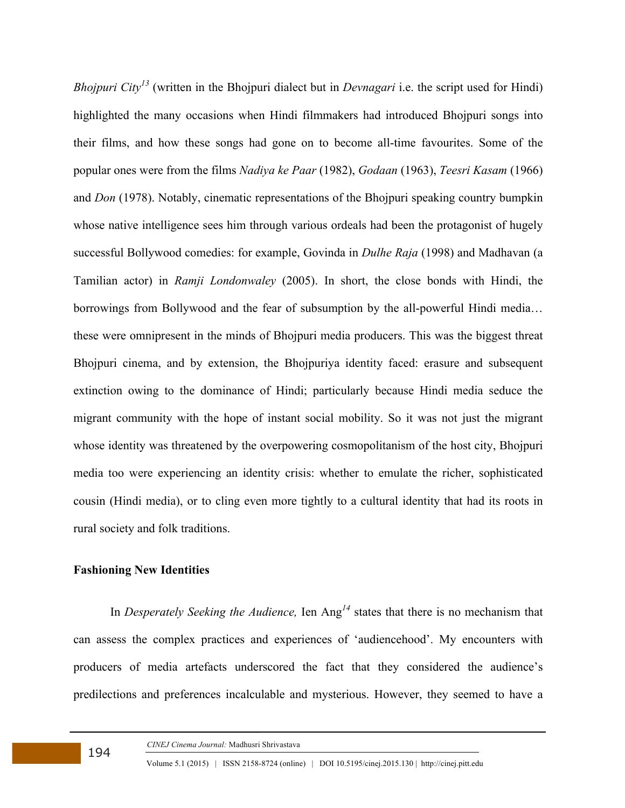*Bhojpuri City<sup>13</sup>* (written in the Bhojpuri dialect but in *Devnagari* i.e. the script used for Hindi) highlighted the many occasions when Hindi filmmakers had introduced Bhojpuri songs into their films, and how these songs had gone on to become all-time favourites. Some of the popular ones were from the films *Nadiya ke Paar* (1982), *Godaan* (1963), *Teesri Kasam* (1966) and *Don* (1978). Notably, cinematic representations of the Bhojpuri speaking country bumpkin whose native intelligence sees him through various ordeals had been the protagonist of hugely successful Bollywood comedies: for example, Govinda in *Dulhe Raja* (1998) and Madhavan (a Tamilian actor) in *Ramji Londonwaley* (2005). In short, the close bonds with Hindi, the borrowings from Bollywood and the fear of subsumption by the all-powerful Hindi media… these were omnipresent in the minds of Bhojpuri media producers. This was the biggest threat Bhojpuri cinema, and by extension, the Bhojpuriya identity faced: erasure and subsequent extinction owing to the dominance of Hindi; particularly because Hindi media seduce the migrant community with the hope of instant social mobility. So it was not just the migrant whose identity was threatened by the overpowering cosmopolitanism of the host city, Bhojpuri media too were experiencing an identity crisis: whether to emulate the richer, sophisticated cousin (Hindi media), or to cling even more tightly to a cultural identity that had its roots in rural society and folk traditions.

## **Fashioning New Identities**

In *Desperately Seeking the Audience,* Ien Ang*<sup>14</sup>* states that there is no mechanism that can assess the complex practices and experiences of 'audiencehood'. My encounters with producers of media artefacts underscored the fact that they considered the audience's predilections and preferences incalculable and mysterious. However, they seemed to have a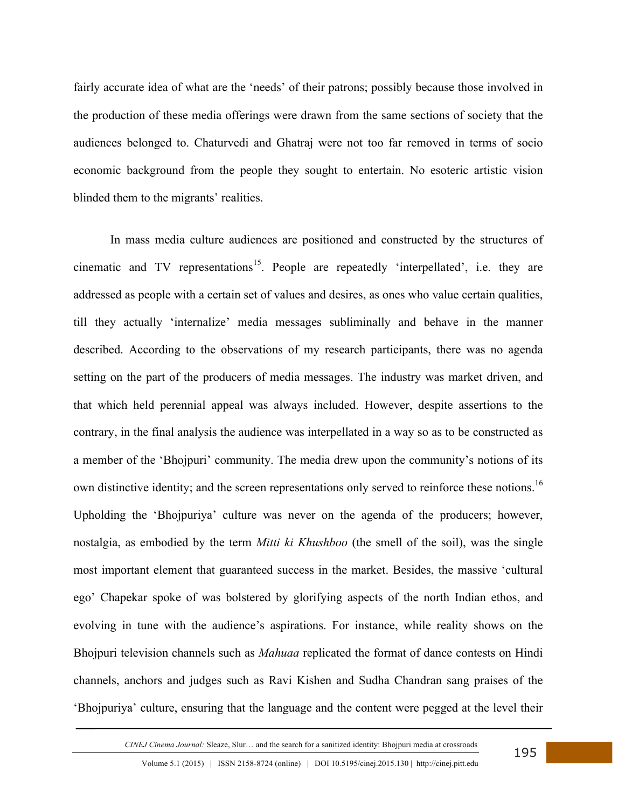fairly accurate idea of what are the 'needs' of their patrons; possibly because those involved in the production of these media offerings were drawn from the same sections of society that the audiences belonged to. Chaturvedi and Ghatraj were not too far removed in terms of socio economic background from the people they sought to entertain. No esoteric artistic vision blinded them to the migrants' realities.

In mass media culture audiences are positioned and constructed by the structures of cinematic and TV representations<sup>15</sup>. People are repeatedly 'interpellated', i.e. they are addressed as people with a certain set of values and desires, as ones who value certain qualities, till they actually 'internalize' media messages subliminally and behave in the manner described. According to the observations of my research participants, there was no agenda setting on the part of the producers of media messages. The industry was market driven, and that which held perennial appeal was always included. However, despite assertions to the contrary, in the final analysis the audience was interpellated in a way so as to be constructed as a member of the 'Bhojpuri' community. The media drew upon the community's notions of its own distinctive identity; and the screen representations only served to reinforce these notions.<sup>16</sup> Upholding the 'Bhojpuriya' culture was never on the agenda of the producers; however, nostalgia, as embodied by the term *Mitti ki Khushboo* (the smell of the soil), was the single most important element that guaranteed success in the market. Besides, the massive 'cultural ego' Chapekar spoke of was bolstered by glorifying aspects of the north Indian ethos, and evolving in tune with the audience's aspirations. For instance, while reality shows on the Bhojpuri television channels such as *Mahuaa* replicated the format of dance contests on Hindi channels, anchors and judges such as Ravi Kishen and Sudha Chandran sang praises of the 'Bhojpuriya' culture, ensuring that the language and the content were pegged at the level their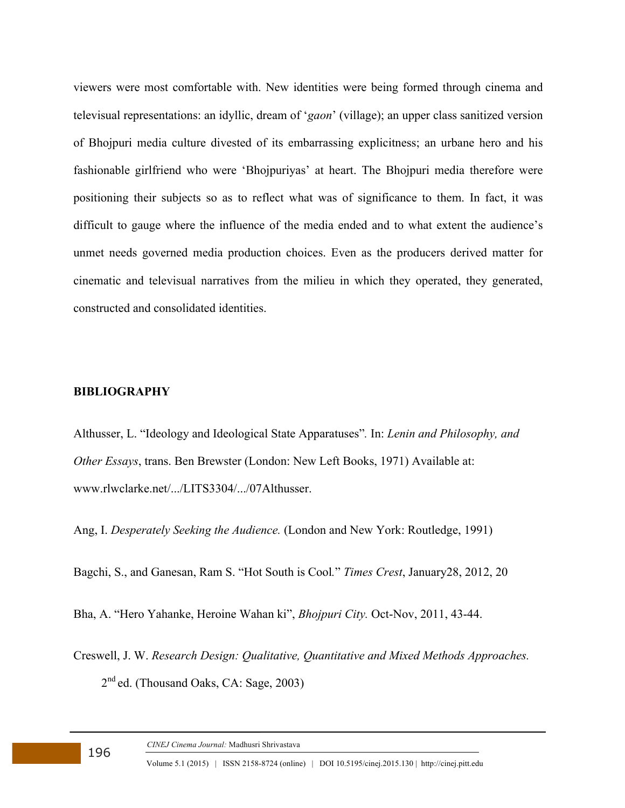viewers were most comfortable with. New identities were being formed through cinema and televisual representations: an idyllic, dream of '*gaon*' (village); an upper class sanitized version of Bhojpuri media culture divested of its embarrassing explicitness; an urbane hero and his fashionable girlfriend who were 'Bhojpuriyas' at heart. The Bhojpuri media therefore were positioning their subjects so as to reflect what was of significance to them. In fact, it was difficult to gauge where the influence of the media ended and to what extent the audience's unmet needs governed media production choices. Even as the producers derived matter for cinematic and televisual narratives from the milieu in which they operated, they generated, constructed and consolidated identities.

### **BIBLIOGRAPHY**

Althusser, L. "Ideology and Ideological State Apparatuses"*.* In: *Lenin and Philosophy, and Other Essays*, trans. Ben Brewster (London: New Left Books, 1971) Available at: www.rlwclarke.net/.../LITS3304/.../07Althusser.

Ang, I. *Desperately Seeking the Audience.* (London and New York: Routledge, 1991)

Bagchi, S., and Ganesan, Ram S. "Hot South is Cool*.*" *Times Crest*, January28, 2012, 20

Bha, A. "Hero Yahanke, Heroine Wahan ki", *Bhojpuri City.* Oct-Nov, 2011, 43-44.

Creswell, J. W. *Research Design: Qualitative, Quantitative and Mixed Methods Approaches.*  2 nd ed. (Thousand Oaks, CA: Sage, 2003)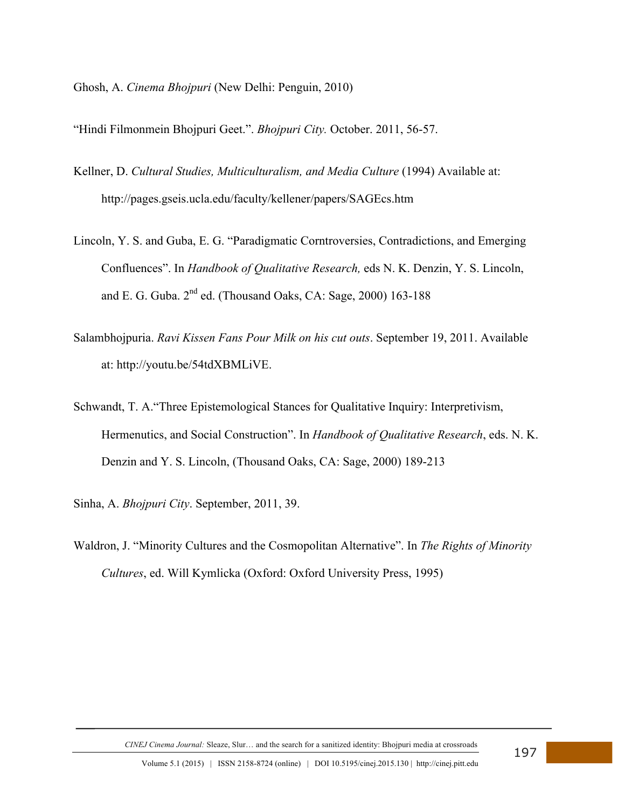Ghosh, A. *Cinema Bhojpuri* (New Delhi: Penguin, 2010)

"Hindi Filmonmein Bhojpuri Geet.". *Bhojpuri City.* October. 2011, 56-57.

- Kellner, D. *Cultural Studies, Multiculturalism, and Media Culture* (1994) Available at: http://pages.gseis.ucla.edu/faculty/kellener/papers/SAGEcs.htm
- Lincoln, Y. S. and Guba, E. G. "Paradigmatic Corntroversies, Contradictions, and Emerging Confluences". In *Handbook of Qualitative Research,* eds N. K. Denzin, Y. S. Lincoln, and E. G. Guba. 2<sup>nd</sup> ed. (Thousand Oaks, CA: Sage, 2000) 163-188
- Salambhojpuria. *Ravi Kissen Fans Pour Milk on his cut outs*. September 19, 2011. Available at: http://youtu.be/54tdXBMLiVE.
- Schwandt, T. A."Three Epistemological Stances for Qualitative Inquiry: Interpretivism, Hermenutics, and Social Construction". In *Handbook of Qualitative Research*, eds. N. K. Denzin and Y. S. Lincoln, (Thousand Oaks, CA: Sage, 2000) 189-213
- Sinha, A. *Bhojpuri City*. September, 2011, 39.
- Waldron, J. "Minority Cultures and the Cosmopolitan Alternative". In *The Rights of Minority Cultures*, ed. Will Kymlicka (Oxford: Oxford University Press, 1995)